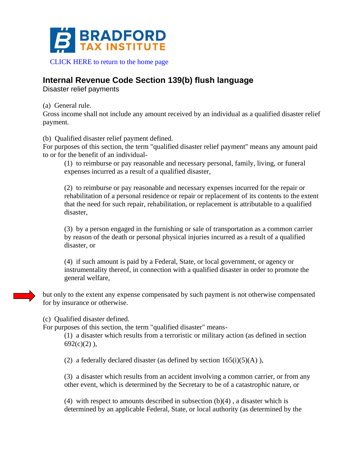

## **Internal Revenue Code Section 139(b) flush language**

Disaster relief payments

(a) General rule.

Gross income shall not include any amount received by an individual as a qualified disaster relief payment.

(b) Qualified disaster relief payment defined.

For purposes of this section, the term "qualified disaster relief payment" means any amount paid to or for the benefit of an individual-

(1) to reimburse or pay reasonable and necessary personal, family, living, or funeral expenses incurred as a result of a qualified disaster,

(2) to reimburse or pay reasonable and necessary expenses incurred for the repair or rehabilitation of a personal residence or repair or replacement of its contents to the extent that the need for such repair, rehabilitation, or replacement is attributable to a qualified disaster,

(3) by a person engaged in the furnishing or sale of transportation as a common carrier by reason of the death or personal physical injuries incurred as a result of a qualified disaster, or

(4) if such amount is paid by a Federal, State, or local government, or agency or instrumentality thereof, in connection with a qualified disaster in order to promote the general welfare,

but only to the extent any expense compensated by such payment is not otherwise compensated for by insurance or otherwise.

(c) Qualified disaster defined.

For purposes of this section, the term "qualified disaster" means-

(1) a disaster which results from a terroristic or military action (as defined in section  $692(c)(2)$ ,

(2) a federally declared disaster (as defined by section  $165(i)(5)(A)$ ),

(3) a disaster which results from an accident involving a common carrier, or from any other event, which is determined by the Secretary to be of a catastrophic nature, or

(4) with respect to amounts described in subsection  $(b)(4)$ , a disaster which is determined by an applicable Federal, State, or local authority (as determined by the